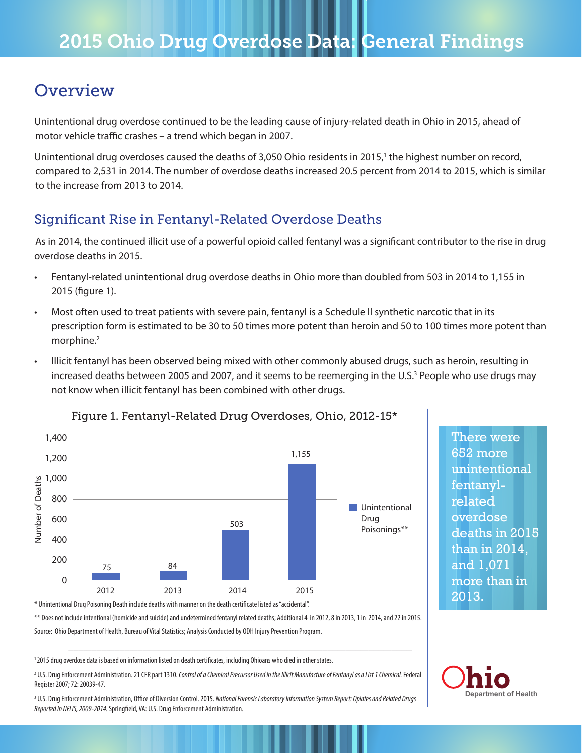# **Overview**

Unintentional drug overdose continued to be the leading cause of injury-related death in Ohio in 2015, ahead of motor vehicle traffic crashes – a trend which began in 2007.

Unintentional drug overdoses caused the deaths of 3,050 Ohio residents in 2015,<sup>1</sup> the highest number on record, compared to 2,531 in 2014. The number of overdose deaths increased 20.5 percent from 2014 to 2015, which is similar to the increase from 2013 to 2014.

# Significant Rise in Fentanyl-Related Overdose Deaths

As in 2014, the continued illicit use of a powerful opioid called fentanyl was a significant contributor to the rise in drug overdose deaths in 2015.

- Fentanyl-related unintentional drug overdose deaths in Ohio more than doubled from 503 in 2014 to 1,155 in 2015 (figure 1).
- Most often used to treat patients with severe pain, fentanyl is a Schedule II synthetic narcotic that in its prescription form is estimated to be 30 to 50 times more potent than heroin and 50 to 100 times more potent than morphine.<sup>2</sup>
- Illicit fentanyl has been observed being mixed with other commonly abused drugs, such as heroin, resulting in increased deaths between 2005 and 2007, and it seems to be reemerging in the U.S.<sup>3</sup> People who use drugs may not know when illicit fentanyl has been combined with other drugs.



### Figure 1. Fentanyl-Related Drug Overdoses, Ohio, 2012-15\*

\* Unintentional Drug Poisoning Death include deaths with manner on the death certificate listed as "accidental".

\*\* Does not include intentional (homicide and suicide) and undetermined fentanyl related deaths; Additional 4 in 2012, 8 in 2013, 1 in 2014, and 22 in 2015. Source: Ohio Department of Health, Bureau of Vital Statistics; Analysis Conducted by ODH Injury Prevention Program.

1 2015 drug overdose data is based on information listed on death certificates, including Ohioans who died in other states.

2 U.S. Drug Enforcement Administration. 21 CFR part 1310. *Control of a Chemical Precursor Used in the Illicit Manufacture of Fentanyl as a List 1 Chemical.* Federal Register 2007; 72: 20039-47.

<sup>3</sup> U.S. Drug Enforcement Administration, Office of Diversion Control. 2015. *National Forensic Laboratory Information System Report: Opiates and Related Drugs Reported in NFLIS, 2009-2014.* Springfield, VA: U.S. Drug Enforcement Administration.

There were 652 more unintentional fentanylrelated overdose deaths in 2015 than in 2014, and 1,071 more than in 2013.

**Department of Health**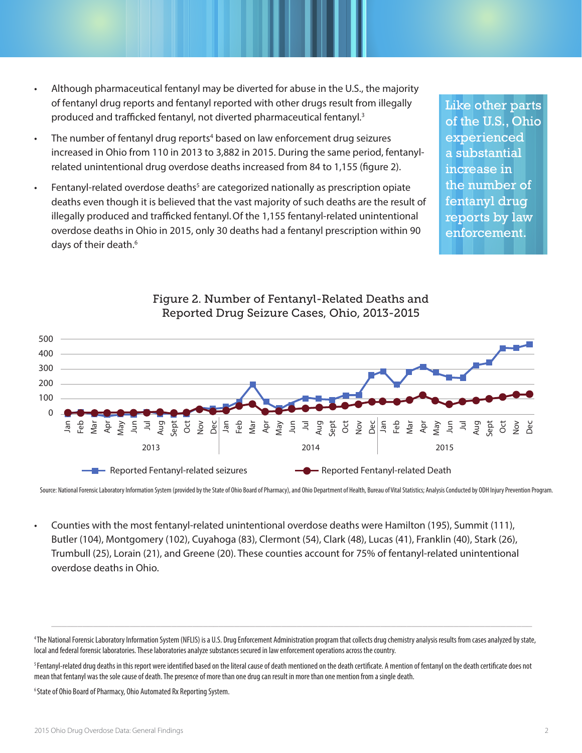- Although pharmaceutical fentanyl may be diverted for abuse in the U.S., the majority of fentanyl drug reports and fentanyl reported with other drugs result from illegally produced and trafficked fentanyl, not diverted pharmaceutical fentanyl.3
- The number of fentanyl drug reports<sup>4</sup> based on law enforcement drug seizures increased in Ohio from 110 in 2013 to 3,882 in 2015. During the same period, fentanylrelated unintentional drug overdose deaths increased from 84 to 1,155 (figure 2).
- Fentanyl-related overdose deaths<sup>5</sup> are categorized nationally as prescription opiate deaths even though it is believed that the vast majority of such deaths are the result of illegally produced and trafficked fentanyl.Of the 1,155 fentanyl-related unintentional overdose deaths in Ohio in 2015, only 30 deaths had a fentanyl prescription within 90 days of their death.<sup>6</sup>

Like other parts of the U.S., Ohio experienced a substantial increase in the number of fentanyl drug reports by law enforcement.



Figure 2. Number of Fentanyl-Related Deaths and Reported Drug Seizure Cases, Ohio, 2013-2015

Source: National Forensic Laboratory Information System (provided by the State of Ohio Board of Pharmacy), and Ohio Department of Health, Bureau of Vital Statistics; Analysis Conducted by ODH Injury Prevention Program.

• Counties with the most fentanyl-related unintentional overdose deaths were Hamilton (195), Summit (111), Butler (104), Montgomery (102), Cuyahoga (83), Clermont (54), Clark (48), Lucas (41), Franklin (40), Stark (26), Trumbull (25), Lorain (21), and Greene (20). These counties account for 75% of fentanyl-related unintentional overdose deaths in Ohio.

4 The National Forensic Laboratory Information System (NFLIS) is a U.S. Drug Enforcement Administration program that collects drug chemistry analysis results from cases analyzed by state, local and federal forensic laboratories. These laboratories analyze substances secured in law enforcement operations across the country.

\_\_\_\_\_\_\_\_\_\_\_\_\_\_\_\_\_\_\_\_\_\_\_\_\_\_\_\_\_\_\_\_\_\_\_\_\_\_\_\_\_\_\_\_\_\_\_\_\_\_\_\_\_\_\_\_\_\_\_\_\_\_\_\_\_\_\_\_\_\_\_\_\_\_\_\_\_\_\_\_\_\_\_\_\_\_\_\_\_\_\_\_

<sup>5</sup> Fentanyl-related drug deaths in this report were identified based on the literal cause of death mentioned on the death certificate. A mention of fentanyl on the death certificate does not mean that fentanyl was the sole cause of death. The presence of more than one drug can result in more than one mention from a single death.

<sup>6</sup> State of Ohio Board of Pharmacy, Ohio Automated Rx Reporting System.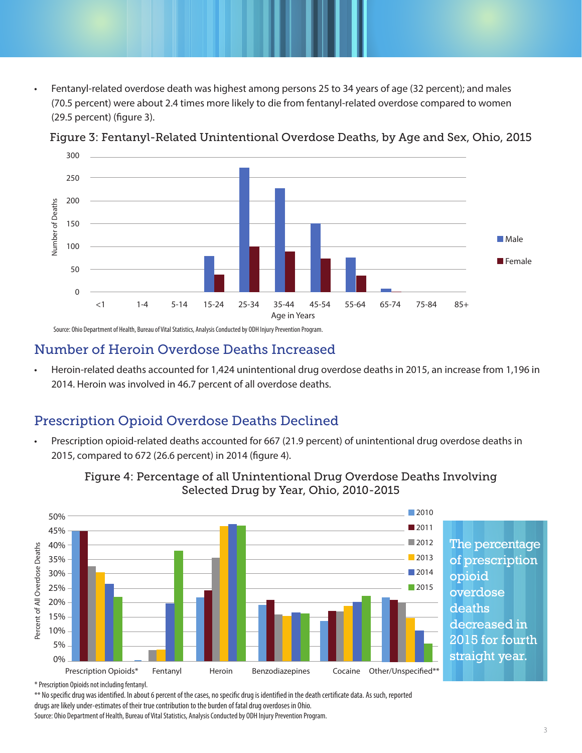• Fentanyl-related overdose death was highest among persons 25 to 34 years of age (32 percent); and males (70.5 percent) were about 2.4 times more likely to die from fentanyl-related overdose compared to women (29.5 percent) (figure 3).



Figure 3: Fentanyl-Related Unintentional Overdose Deaths, by Age and Sex, Ohio, 2015

Source: Ohio Department of Health, Bureau of Vital Statistics, Analysis Conducted by ODH Injury Prevention Program.

### Number of Heroin Overdose Deaths Increased

• Heroin-related deaths accounted for 1,424 unintentional drug overdose deaths in 2015, an increase from 1,196 in 2014. Heroin was involved in 46.7 percent of all overdose deaths.

# Prescription Opioid Overdose Deaths Declined

• Prescription opioid-related deaths accounted for 667 (21.9 percent) of unintentional drug overdose deaths in 2015, compared to 672 (26.6 percent) in 2014 (figure 4).



Figure 4: Percentage of all Unintentional Drug Overdose Deaths Involving Selected Drug by Year, Ohio, 2010-2015

\* Prescription Opioids not including fentanyl.

\*\* No specific drug was identified. In about 6 percent of the cases, no specific drug is identified in the death certificate data. As such, reported

drugs are likely under-estimates of their true contribution to the burden of fatal drug overdoses in Ohio.

Source: Ohio Department of Health, Bureau of Vital Statistics, Analysis Conducted by ODH Injury Prevention Program.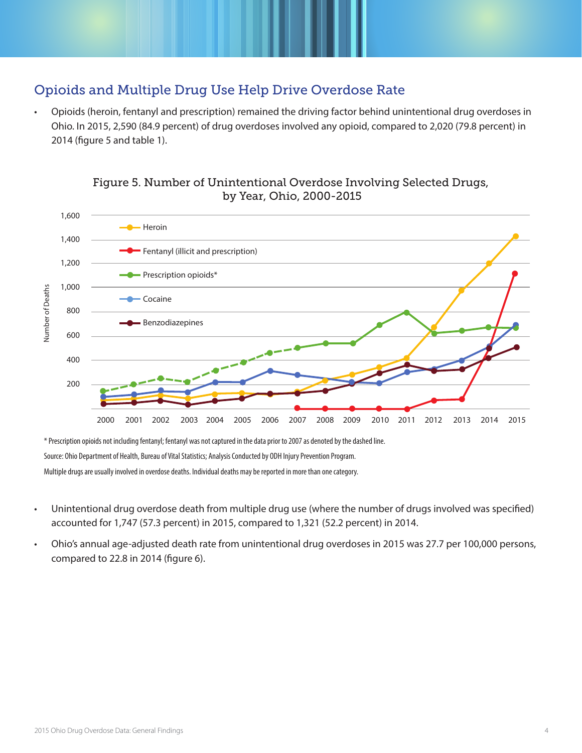# Opioids and Multiple Drug Use Help Drive Overdose Rate

• Opioids (heroin, fentanyl and prescription) remained the driving factor behind unintentional drug overdoses in Ohio. In 2015, 2,590 (84.9 percent) of drug overdoses involved any opioid, compared to 2,020 (79.8 percent) in 2014 (figure 5 and table 1).



### Figure 5. Number of Unintentional Overdose Involving Selected Drugs, by Year, Ohio, 2000-2015

\* Prescription opioids not including fentanyl; fentanyl was not captured in the data prior to 2007 as denoted by the dashed line.

Source: Ohio Department of Health, Bureau of Vital Statistics; Analysis Conducted by ODH Injury Prevention Program.

Multiple drugs are usually involved in overdose deaths. Individual deaths may be reported in more than one category.

- Unintentional drug overdose death from multiple drug use (where the number of drugs involved was specified) accounted for 1,747 (57.3 percent) in 2015, compared to 1,321 (52.2 percent) in 2014.
- Ohio's annual age-adjusted death rate from unintentional drug overdoses in 2015 was 27.7 per 100,000 persons, compared to 22.8 in 2014 (figure 6).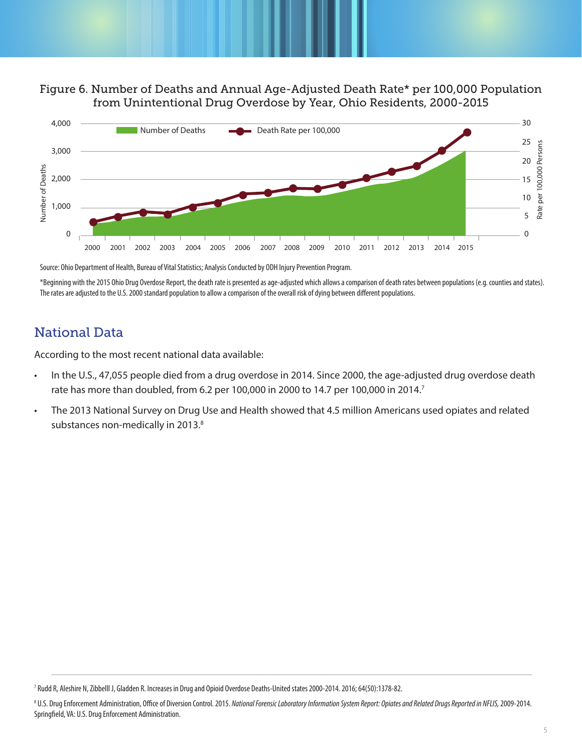#### Figure 6. Number of Deaths and Annual Age-Adjusted Death Rate\* per 100,000 Population from Unintentional Drug Overdose by Year, Ohio Residents, 2000-2015



Source: Ohio Department of Health, Bureau of Vital Statistics; Analysis Conducted by ODH Injury Prevention Program.

\*Beginning with the 2015 Ohio Drug Overdose Report, the death rate is presented as age-adjusted which allows a comparison of death rates between populations (e.g. counties and states). The rates are adjusted to the U.S. 2000 standard population to allow a comparison of the overall risk of dying between different populations.

## National Data

According to the most recent national data available:

- In the U.S., 47,055 people died from a drug overdose in 2014. Since 2000, the age-adjusted drug overdose death rate has more than doubled, from 6.2 per 100,000 in 2000 to 14.7 per 100,000 in 2014.7
- The 2013 National Survey on Drug Use and Health showed that 4.5 million Americans used opiates and related substances non-medically in 2013.<sup>8</sup>

\_\_\_\_\_\_\_\_\_\_\_\_\_\_\_\_\_\_\_\_\_\_\_\_\_\_\_\_\_\_\_\_\_\_\_\_\_\_\_\_\_\_\_\_\_\_\_\_\_\_\_\_\_\_\_\_\_\_\_\_\_\_\_\_\_\_\_\_\_\_\_\_\_\_\_\_\_\_\_\_\_\_\_\_\_\_\_\_\_\_\_\_

<sup>7</sup> Rudd R, Aleshire N, Zibbelll J, Gladden R. Increases in Drug and Opioid Overdose Deaths-United states 2000-2014. 2016; 64(50):1378-82.

<sup>8</sup> U.S. Drug Enforcement Administration, Office of Diversion Control. 2015. *National Forensic Laboratory Information System Report: Opiates and Related Drugs Reported in NFLIS,* 2009-2014. Springfield, VA: U.S. Drug Enforcement Administration.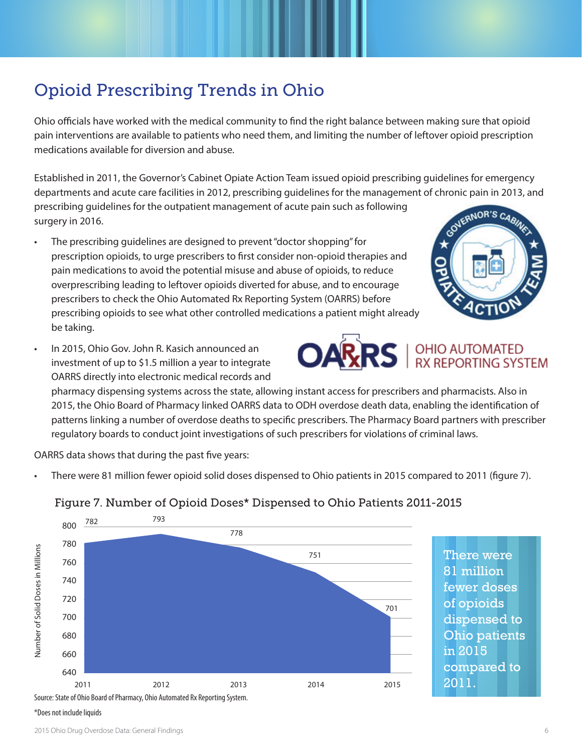\*Does not include liquids

# Opioid Prescribing Trends in Ohio

Ohio officials have worked with the medical community to find the right balance between making sure that opioid pain interventions are available to patients who need them, and limiting the number of leftover opioid prescription medications available for diversion and abuse.

Established in 2011, the Governor's Cabinet Opiate Action Team issued opioid prescribing guidelines for emergency departments and acute care facilities in 2012, prescribing guidelines for the management of chronic pain in 2013, and prescribing guidelines for the outpatient management of acute pain such as following

surgery in 2016.

- The prescribing guidelines are designed to prevent "doctor shopping" for prescription opioids, to urge prescribers to first consider non-opioid therapies and pain medications to avoid the potential misuse and abuse of opioids, to reduce overprescribing leading to leftover opioids diverted for abuse, and to encourage prescribers to check the Ohio Automated Rx Reporting System (OARRS) before prescribing opioids to see what other controlled medications a patient might already be taking.
- In 2015, Ohio Gov. John R. Kasich announced an investment of up to \$1.5 million a year to integrate OARRS directly into electronic medical records and

pharmacy dispensing systems across the state, allowing instant access for prescribers and pharmacists. Also in 2015, the Ohio Board of Pharmacy linked OARRS data to ODH overdose death data, enabling the identification of patterns linking a number of overdose deaths to specific prescribers. The Pharmacy Board partners with prescriber regulatory boards to conduct joint investigations of such prescribers for violations of criminal laws.

OARRS data shows that during the past five years:

• There were 81 million fewer opioid solid doses dispensed to Ohio patients in 2015 compared to 2011 (figure 7).



### Figure 7. Number of Opioid Doses\* Dispensed to Ohio Patients 2011-2015





# **OARRS** I OHIO AUTOMATED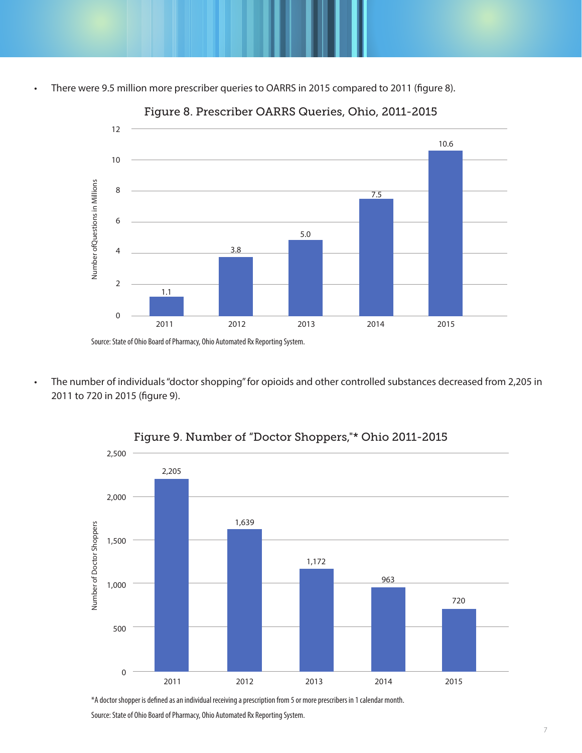• There were 9.5 million more prescriber queries to OARRS in 2015 compared to 2011 (figure 8).



Figure 8. Prescriber OARRS Queries, Ohio, 2011-2015

• The number of individuals "doctor shopping" for opioids and other controlled substances decreased from 2,205 in 2011 to 720 in 2015 (figure 9).



Figure 9. Number of "Doctor Shoppers,"\* Ohio 2011-2015

\*A doctor shopper is defined as an individual receiving a prescription from 5 or more prescribers in 1 calendar month.

Source: State of Ohio Board of Pharmacy, Ohio Automated Rx Reporting System.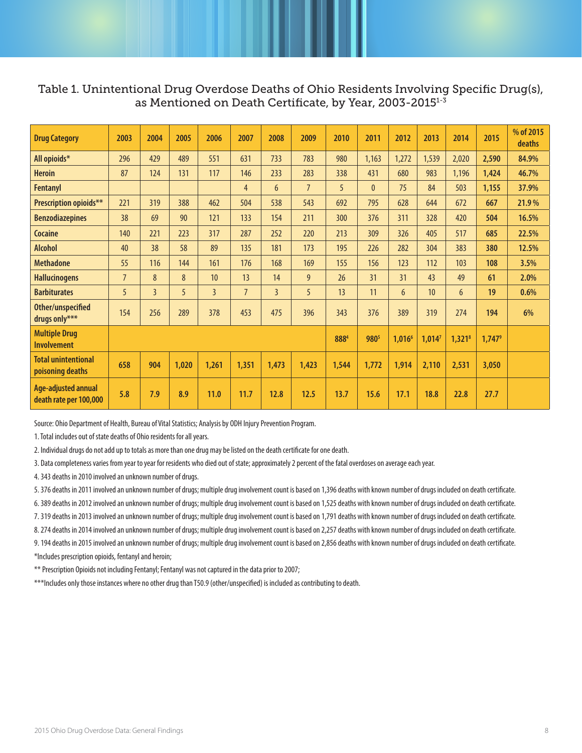### Table 1. Unintentional Drug Overdose Deaths of Ohio Residents Involving Specific Drug(s), as Mentioned on Death Certificate, by Year, 2003-20151-3

| <b>Drug Category</b>                           | 2003           | 2004           | 2005  | 2006           | 2007           | 2008           | 2009           | 2010           | 2011             | 2012               | 2013               | 2014      | 2015            | % of 2015<br>deaths |
|------------------------------------------------|----------------|----------------|-------|----------------|----------------|----------------|----------------|----------------|------------------|--------------------|--------------------|-----------|-----------------|---------------------|
| All opioids*                                   | 296            | 429            | 489   | 551            | 631            | 733            | 783            | 980            | 1,163            | 1,272              | 1,539              | 2,020     | 2,590           | 84.9%               |
| <b>Heroin</b>                                  | 87             | 124            | 131   | 117            | 146            | 233            | 283            | 338            | 431              | 680                | 983                | 1,196     | 1,424           | 46.7%               |
| <b>Fentanyl</b>                                |                |                |       |                | 4              | 6              | $\overline{7}$ | 5 <sup>5</sup> | $\mathbf{0}$     | 75                 | 84                 | 503       | 1,155           | 37.9%               |
| Prescription opioids**                         | 221            | 319            | 388   | 462            | 504            | 538            | 543            | 692            | 795              | 628                | 644                | 672       | 667             | 21.9%               |
| <b>Benzodiazepines</b>                         | 38             | 69             | 90    | 121            | 133            | 154            | 211            | 300            | 376              | 311                | 328                | 420       | 504             | 16.5%               |
| <b>Cocaine</b>                                 | 140            | 221            | 223   | 317            | 287            | 252            | 220            | 213            | 309              | 326                | 405                | 517       | 685             | 22.5%               |
| <b>Alcohol</b>                                 | 40             | 38             | 58    | 89             | 135            | 181            | 173            | 195            | 226              | 282                | 304                | 383       | 380             | 12.5%               |
| <b>Methadone</b>                               | 55             | 116            | 144   | 161            | 176            | 168            | 169            | 155            | 156              | 123                | 112                | 103       | 108             | 3.5%                |
| <b>Hallucinogens</b>                           | $\overline{7}$ | 8              | 8     | 10             | 13             | 14             | 9              | 26             | 31               | 31                 | 43                 | 49        | 61              | 2.0%                |
| <b>Barbiturates</b>                            | 5              | $\overline{3}$ | 5     | $\overline{3}$ | $\overline{7}$ | $\overline{3}$ | 5              | 13             | 11               | 6                  | 10                 | 6         | 19              | 0.6%                |
| Other/unspecified<br>drugs only***             | 154            | 256            | 289   | 378            | 453            | 475            | 396            | 343            | 376              | 389                | 319                | 274       | 194             | 6%                  |
| <b>Multiple Drug</b><br><b>Involvement</b>     |                |                |       |                |                |                |                | 8884           | 980 <sup>5</sup> | 1,016 <sup>6</sup> | 1,014 <sup>7</sup> | $1,321^8$ | $1,747^{\circ}$ |                     |
| <b>Total unintentional</b><br>poisoning deaths | 658            | 904            | 1,020 | 1,261          | 1,351          | 1,473          | 1,423          | 1,544          | 1,772            | 1,914              | 2,110              | 2,531     | 3,050           |                     |
| Age-adjusted annual<br>death rate per 100,000  | 5.8            | 7.9            | 8.9   | 11.0           | 11.7           | 12.8           | 12.5           | 13.7           | 15.6             | 17.1               | 18.8               | 22.8      | 27.7            |                     |

Source: Ohio Department of Health, Bureau of Vital Statistics; Analysis by ODH Injury Prevention Program.

1. Total includes out of state deaths of Ohio residents for all years.

2. Individual drugs do not add up to totals as more than one drug may be listed on the death certificate for one death.

3. Data completeness varies from year to year for residents who died out of state; approximately 2 percent of the fatal overdoses on average each year.

4. 343 deaths in 2010 involved an unknown number of drugs.

5. 376 deaths in 2011 involved an unknown number of drugs; multiple drug involvement count is based on 1,396 deaths with known number of drugs included on death certificate.

6. 389 deaths in 2012 involved an unknown number of drugs; multiple drug involvement count is based on 1,525 deaths with known number of drugs included on death certificate.

7. 319 deaths in 2013 involved an unknown number of drugs; multiple drug involvement count is based on 1,791 deaths with known number of drugs included on death certificate.

8. 274 deaths in 2014 involved an unknown number of drugs; multiple drug involvement count is based on 2,257 deaths with known number of drugs included on death certificate.

9. 194 deaths in 2015 involved an unknown number of drugs; multiple drug involvement count is based on 2,856 deaths with known number of drugs included on death certificate. \*Includes prescription opioids, fentanyl and heroin;

\*\* Prescription Opioids not including Fentanyl; Fentanyl was not captured in the data prior to 2007;

\*\*\*Includes only those instances where no other drug than T50.9 (other/unspecified) is included as contributing to death.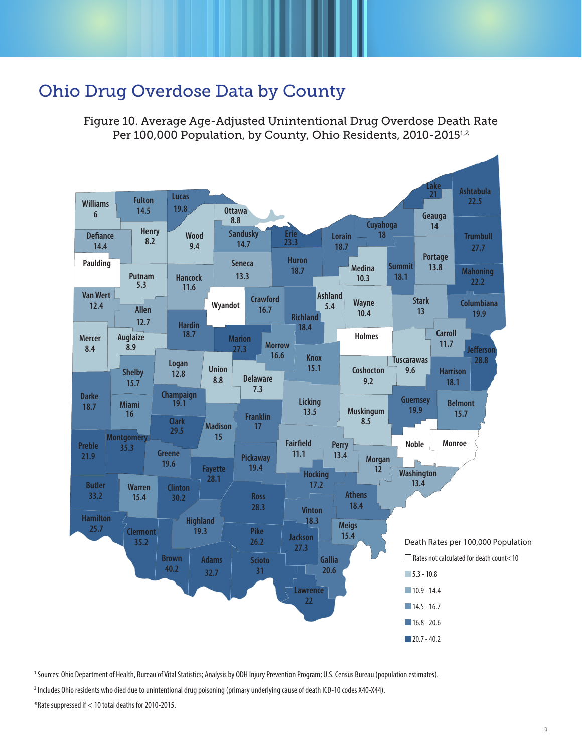# Ohio Drug Overdose Data by County

Figure 10. Average Age-Adjusted Unintentional Drug Overdose Death Rate Per 100,000 Population, by County, Ohio Residents, 2010-2015<sup>1,2</sup>



1 Sources: Ohio Department of Health, Bureau of Vital Statistics; Analysis by ODH Injury Prevention Program; U.S. Census Bureau (population estimates).

2 Includes Ohio residents who died due to unintentional drug poisoning (primary underlying cause of death ICD-10 codes X40-X44).

<sup>\*</sup>Rate suppressed if < 10 total deaths for 2010-2015.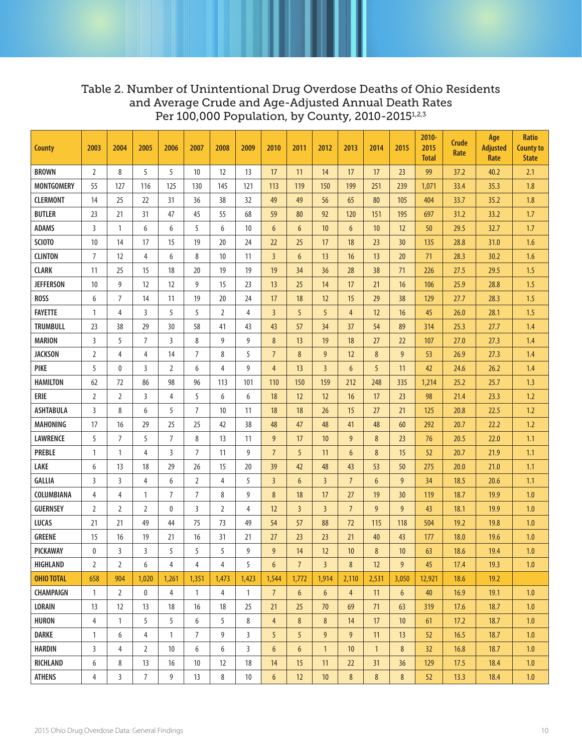### Table 2. Number of Unintentional Drug Overdose Deaths of Ohio Residents and Average Crude and Age-Adjusted Annual Death Rates Per 100,000 Population, by County, 2010-2015<sup>1,2,3</sup>

| <b>County</b>     | 2003           | 2004           | 2005           | 2006           | 2007           | 2008           | 2009           | 2010            | 2011            | 2012            | 2013           | 2014           | 2015            | 2010-<br>2015<br><b>Total</b> | Crude<br>Rate | Age<br><b>Adjusted</b><br>Rate | <b>Ratio</b><br><b>County to</b><br><b>State</b> |
|-------------------|----------------|----------------|----------------|----------------|----------------|----------------|----------------|-----------------|-----------------|-----------------|----------------|----------------|-----------------|-------------------------------|---------------|--------------------------------|--------------------------------------------------|
| <b>BROWN</b>      | $\overline{2}$ | 8              | 5              | 5              | 10             | 12             | 13             | 17              | 11              | 14              | 17             | 17             | 23              | 99                            | 37.2          | 40.2                           | 2.1                                              |
| <b>MONTGOMERY</b> | 55             | 127            | 116            | 125            | 130            | 145            | 121            | 113             | 119             | 150             | 199            | 251            | 239             | 1,071                         | 33.4          | 35.3                           | 1.8                                              |
| <b>CLERMONT</b>   | 14             | 25             | 22             | 31             | 36             | 38             | 32             | 49              | 49              | 56              | 65             | 80             | 105             | 404                           | 33.7          | 35.2                           | 1.8                                              |
| <b>BUTLER</b>     | 23             | 21             | 31             | 47             | 45             | 55             | 68             | 59              | 80              | 92              | 120            | 151            | 195             | 697                           | 31.2          | 33.2                           | 1.7                                              |
| <b>ADAMS</b>      | 3              | 1              | 6              | 6              | 5              | 6              | 10             | 6               | $6\overline{6}$ | 10              | 6              | 10             | 12              | 50                            | 29.5          | 32.7                           | 1.7                                              |
| SCIOTO            | 10             | 14             | 17             | 15             | 19             | 20             | 24             | 22              | 25              | 17              | 18             | 23             | 30              | 135                           | 28.8          | 31.0                           | 1.6                                              |
| <b>CLINTON</b>    | $\overline{7}$ | 12             | $\overline{4}$ | 6              | 8              | 10             | 11             | $\overline{3}$  | $6\overline{6}$ | 13              | 16             | 13             | 20              | 71                            | 28.3          | 30.2                           | 1.6                                              |
| <b>CLARK</b>      | 11             | 25             | 15             | 18             | 20             | 19             | 19             | 19              | 34              | 36              | 28             | 38             | 71              | 226                           | 27.5          | 29.5                           | 1.5                                              |
| <b>JEFFERSON</b>  | 10             | 9              | 12             | 12             | 9              | 15             | 23             | 13              | 25              | 14              | 17             | 21             | 16              | 106                           | 25.9          | 28.8                           | 1.5                                              |
| <b>ROSS</b>       | 6              | $\overline{7}$ | 14             | 11             | 19             | 20             | 24             | 17              | 18              | 12              | 15             | 29             | 38              | 129                           | 27.7          | 28.3                           | 1.5                                              |
| <b>FAYETTE</b>    | $\mathbf{1}$   | 4              | 3              | 5              | 5              | $\overline{2}$ | 4              | $\overline{3}$  | 5               | 5               | $\overline{4}$ | 12             | 16              | 45                            | 26.0          | 28.1                           | 1.5                                              |
| <b>TRUMBULL</b>   | 23             | 38             | 29             | 30             | 58             | 41             | 43             | 43              | 57              | 34              | 37             | 54             | 89              | 314                           | 25.3          | 27.7                           | 1.4                                              |
| <b>MARION</b>     | 3              | 5              | $\overline{7}$ | $\overline{3}$ | 8              | 9              | 9              | 8               | 13              | 19              | 18             | 27             | 22              | 107                           | 27.0          | 27.3                           | 1.4                                              |
| <b>JACKSON</b>    | $\overline{2}$ | 4              | 4              | 14             | $\overline{7}$ | 8              | 5              | $\overline{7}$  | 8               | 9               | 12             | 8              | 9               | 53                            | 26.9          | 27.3                           | 1.4                                              |
| <b>PIKE</b>       | 5              | 0              | 3              | $\overline{2}$ | 6              | 4              | 9              | $\overline{4}$  | 13              | $\overline{3}$  | 6              | 5              | 11              | 42                            | 24.6          | 26.2                           | 1.4                                              |
| <b>HAMILTON</b>   | 62             | 72             | 86             | 98             | 96             | 113            | 101            | 110             | 150             | 159             | 212            | 248            | 335             | 1,214                         | 25.2          | 25.7                           | 1.3                                              |
| ERIE              | $\overline{2}$ | $\overline{2}$ | 3              | 4              | 5              | 6              | 6              | 18              | 12              | 12              | 16             | 17             | 23              | 98                            | 21.4          | 23.3                           | 1.2                                              |
| <b>ASHTABULA</b>  | 3              | 8              | 6              | 5              | $\overline{7}$ | 10             | 11             | 18              | 18              | 26              | 15             | 27             | 21              | 125                           | 20.8          | 22.5                           | 1.2                                              |
| <b>MAHONING</b>   | 17             | 16             | 29             | 25             | 25             | 42             | 38             | 48              | 47              | 48              | 41             | 48             | 60              | 292                           | 20.7          | 22.2                           | 1.2                                              |
| <b>LAWRENCE</b>   | 5              | $\overline{7}$ | 5              | $\overline{7}$ | 8              | 13             | 11             | 9               | 17              | 10              | 9              | 8              | 23              | 76                            | 20.5          | 22.0                           | 1.1                                              |
| <b>PREBLE</b>     | $\mathbf{1}$   | $\mathbf{1}$   | $\overline{4}$ | 3              | 7              | 11             | 9              | $\overline{7}$  | 5               | 11              | $6\phantom{1}$ | 8              | 15              | 52                            | 20.7          | 21.9                           | 1.1                                              |
| LAKE              | 6              | 13             | 18             | 29             | 26             | 15             | 20             | 39              | 42              | 48              | 43             | 53             | 50              | 275                           | 20.0          | 21.0                           | 1.1                                              |
| <b>GALLIA</b>     | 3              | 3              | 4              | 6              | $\overline{2}$ | 4              | 5              | $\overline{3}$  | $6\overline{6}$ | $\overline{3}$  | $\overline{7}$ | 6              | 9               | 34                            | 18.5          | 20.6                           | 1.1                                              |
| COLUMBIANA        | $\overline{4}$ | 4              | 1              | $\overline{7}$ | $\overline{7}$ | 8              | 9              | 8               | 18              | 17              | 27             | 19             | 30              | 119                           | 18.7          | 19.9                           | 1.0                                              |
| <b>GUERNSEY</b>   | $\overline{2}$ | 2              | $\overline{2}$ | $\mathbf{0}$   | 3              | 2              | 4              | 12              | $\overline{3}$  | $\overline{3}$  | $\overline{7}$ | 9              | 9               | 43                            | 18.1          | 19.9                           | 1.0                                              |
| <b>LUCAS</b>      | 21             | 21             | 49             | 44             | 75             | 73             | 49             | 54              | 57              | 88              | 72             | 115            | 118             | 504                           | 19.2          | 19.8                           | 1.0                                              |
| <b>GREENE</b>     | 15             | 16             | 19             | 21             | 16             | 31             | 21             | 27              | 23              | 23              | 21             | 40             | 43              | 177                           | 18.0          | 19.6                           | 1.0                                              |
| PICKAWAY          | $\mathbf{0}$   | 3              | 3              | 5              | 5              | 5              | 9              | $\overline{9}$  | 14              | 12              | 10             | 8              | 10              | 63                            | 18.6          | 19.4                           | $1.0\,$                                          |
| <b>HIGHLAND</b>   | $\overline{2}$ | 2              | 6              | 4              | 4              | 4              | 5              | 6               | $\overline{7}$  | $\overline{3}$  | 8              | 12             | 9               | 45                            | 17.4          | 19.3                           | 1.0                                              |
| <b>OHIO TOTAL</b> | 658            | 904            | 1,020          | 1,261          | 1,351          | 1,473          | 1,423          | 1,544           | 1,772           | 1,914           | 2,110          | 2,531          | 3,050           | 12,921                        | 18.6          | 19.2                           |                                                  |
| <b>CHAMPAIGN</b>  | $\mathbf{1}$   | $\overline{2}$ | 0              | $\overline{4}$ | $\mathbf{1}$   | $\overline{4}$ | $\mathbf{1}$   | 7 <sup>7</sup>  | $6\phantom{.}6$ | $6\phantom{.}6$ | $\overline{4}$ | 11             | $6\overline{6}$ | 40                            | 16.9          | 19.1                           | 1.0                                              |
| <b>LORAIN</b>     | 13             | 12             | 13             | 18             | 16             | 18             | 25             | 21              | 25              | 70              | 69             | 71             | 63              | 319                           | 17.6          | 18.7                           | 1.0                                              |
| <b>HURON</b>      | $\overline{4}$ | $\mathbf{1}$   | 5              | 5              | 6              | 5              | 8              | $\overline{4}$  | $8\phantom{1}$  | $8\phantom{1}$  | 14             | 17             | 10              | 61                            | 17.2          | 18.7                           | 1.0                                              |
| DARKE             | $\mathbf{1}$   | 6              | 4              | $\mathbf{1}$   | 7              | 9              | 3              | 5               | 5               | 9               | 9              | 11             | 13              | 52                            | 16.5          | 18.7                           | 1.0                                              |
| HARDIN            | $\overline{3}$ | $\overline{4}$ | $\overline{2}$ | 10             | 6              | 6              | $\overline{3}$ | $6\overline{6}$ | $6\phantom{.}6$ | $\mathbf{1}$    | 10             | $\overline{1}$ | 8               | 32                            | 16.8          | 18.7                           | 1.0                                              |
| RICHLAND          | 6              | 8              | 13             | 16             | 10             | 12             | 18             | 14              | 15              | 11              | 22             | 31             | 36              | 129                           | 17.5          | 18.4                           | 1.0                                              |
| <b>ATHENS</b>     | $\overline{4}$ | $\mathbf{3}$   | $\overline{7}$ | 9              | 13             | 8              | 10             | $6\phantom{a}$  | 12              | 10              | 8              | 8              | 8               | 52                            | 13.3          | 18.4                           | 1.0                                              |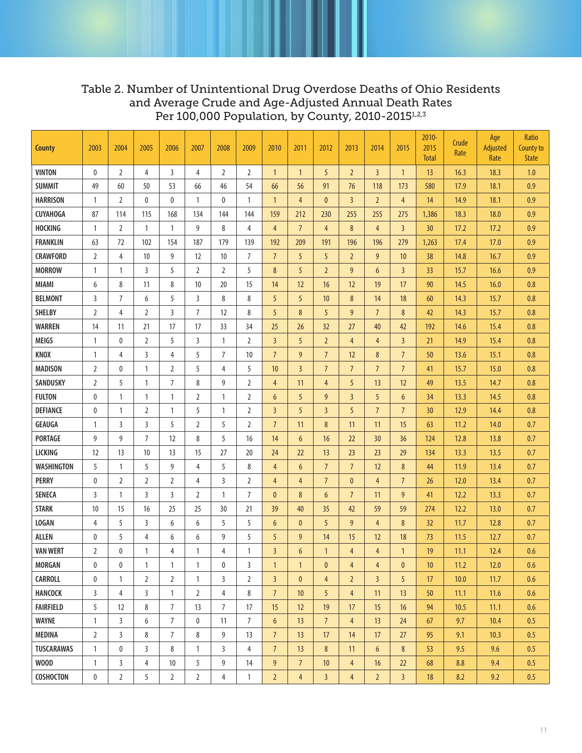### Table 2. Number of Unintentional Drug Overdose Deaths of Ohio Residents and Average Crude and Age-Adjusted Annual Death Rates Per 100,000 Population, by County, 2010-2015<sup>1,2,3</sup>

| <b>County</b>     | 2003           | 2004           | 2005           | 2006           | 2007           | 2008           | 2009           | 2010            | 2011            | 2012            | 2013           | 2014           | 2015            | $2010 -$<br>2015<br><b>Total</b> | Crude<br>Rate | Age<br>Adjusted<br>Rate | Ratio<br>County to<br><b>State</b> |
|-------------------|----------------|----------------|----------------|----------------|----------------|----------------|----------------|-----------------|-----------------|-----------------|----------------|----------------|-----------------|----------------------------------|---------------|-------------------------|------------------------------------|
| <b>VINTON</b>     | $\mathbf 0$    | $\overline{2}$ | 4              | $\overline{3}$ | $\overline{4}$ | 2              | $\overline{2}$ | $\mathbf{1}$    | $\mathbf{1}$    | 5               | $\overline{2}$ | $\overline{3}$ | $\mathbf{1}$    | 13                               | 16.3          | 18.3                    | 1.0                                |
| <b>SUMMIT</b>     | 49             | 60             | 50             | 53             | 66             | 46             | 54             | 66              | 56              | 91              | 76             | 118            | 173             | 580                              | 17.9          | 18.1                    | 0.9                                |
| <b>HARRISON</b>   | $\mathbf{1}$   | $\overline{2}$ | $\mathbf{0}$   | 0              | $\mathbf{1}$   | 0              | $\mathbf{1}$   | $\mathbf{1}$    | $\overline{4}$  | $\mathbf 0$     | $\overline{3}$ | $\overline{2}$ | $\overline{4}$  | 14                               | 14.9          | 18.1                    | 0.9                                |
| <b>CUYAHOGA</b>   | 87             | 114            | 115            | 168            | 134            | 144            | 144            | 159             | 212             | 230             | 255            | 255            | 275             | 1,386                            | 18.3          | 18.0                    | 0.9                                |
| <b>HOCKING</b>    | $\mathbf{1}$   | $\overline{2}$ | $\mathbf{1}$   | $\mathbf{1}$   | 9              | 8              | 4              | 4               | $7\overline{ }$ | $\overline{4}$  | 8              | $\overline{4}$ | $\overline{3}$  | 30                               | 17.2          | 17.2                    | 0.9                                |
| <b>FRANKLIN</b>   | 63             | 72             | 102            | 154            | 187            | 179            | 139            | 192             | 209             | 191             | 196            | 196            | 279             | 1,263                            | 17.4          | 17.0                    | 0.9                                |
| <b>CRAWFORD</b>   | $\overline{2}$ | 4              | 10             | 9              | 12             | 10             | 7              | $\overline{7}$  | 5               | 5               | $\overline{2}$ | 9              | 10              | 38                               | 14.8          | 16.7                    | 0.9                                |
| <b>MORROW</b>     | $\mathbf{1}$   | $\mathbf{1}$   | 3              | 5              | $\overline{2}$ | $\overline{2}$ | 5              | 8               | 5               | $\overline{2}$  | 9              | 6              | $\overline{3}$  | 33                               | 15.7          | 16.6                    | 0.9                                |
| <b>MIAMI</b>      | 6              | 8              | 11             | 8              | 10             | 20             | 15             | 14              | 12              | 16              | 12             | 19             | 17              | 90                               | 14.5          | 16.0                    | 0.8                                |
| <b>BELMONT</b>    | 3              | $\overline{7}$ | 6              | 5              | 3              | 8              | 8              | 5               | 5               | 10              | 8              | 14             | 18              | 60                               | 14.3          | 15.7                    | 0.8                                |
| <b>SHELBY</b>     | $\overline{2}$ | $\overline{4}$ | $\overline{2}$ | 3              | $\overline{7}$ | 12             | 8              | 5               | 8               | 5               | 9              | $\overline{7}$ | 8               | 42                               | 14.3          | 15.7                    | 0.8                                |
| <b>WARREN</b>     | 14             | 11             | 21             | 17             | 17             | 33             | 34             | 25              | 26              | 32              | 27             | 40             | 42              | 192                              | 14.6          | 15.4                    | 0.8                                |
| <b>MEIGS</b>      | $\mathbf{1}$   | 0              | $\overline{2}$ | 5              | 3              | $\mathbf{1}$   | $\overline{2}$ | $\overline{3}$  | 5               | $\overline{2}$  | $\overline{4}$ | $\overline{4}$ | $\overline{3}$  | 21                               | 14.9          | 15.4                    | 0.8                                |
| KNOX              | $\mathbf{1}$   | $\overline{4}$ | 3              | 4              | 5              | 7              | 10             | $\overline{7}$  | 9               | $\overline{7}$  | 12             | 8              | $\overline{7}$  | 50                               | 13.6          | 15.1                    | 0.8                                |
| <b>MADISON</b>    | $\overline{2}$ | 0              | $\mathbf{1}$   | $\overline{2}$ | 5              | $\overline{4}$ | 5              | 10 <sup>1</sup> | $\overline{3}$  | $\overline{7}$  | $\overline{7}$ | $\overline{7}$ | $\overline{7}$  | 41                               | 15.7          | 15.0                    | 0.8                                |
| SANDUSKY          | $\overline{2}$ | 5              | $\mathbf{1}$   | 7              | 8              | 9              | $\overline{2}$ | 4               | 11              | $\overline{4}$  | 5              | 13             | 12              | 49                               | 13.5          | 14.7                    | 0.8                                |
| <b>FULTON</b>     | 0              | $\mathbf{1}$   | $\mathbf{1}$   | $\mathbf{1}$   | $\overline{2}$ | $\mathbf{1}$   | $\overline{2}$ | 6               | 5               | 9               | $\overline{3}$ | 5              | 6               | 34                               | 13.3          | 14.5                    | 0.8                                |
| <b>DEFIANCE</b>   | 0              | $\mathbf{1}$   | $\overline{2}$ | $\mathbf{1}$   | 5              | $\mathbf{1}$   | $\overline{2}$ | $\overline{3}$  | 5               | $\overline{3}$  | 5              | $\overline{7}$ | $\overline{7}$  | 30                               | 12.9          | 14.4                    | 0.8                                |
| <b>GEAUGA</b>     | $\mathbf{1}$   | 3              | 3              | 5              | $\overline{2}$ | 5              | $\overline{2}$ | $\overline{7}$  | 11              | $8\phantom{1}$  | 11             | 11             | 15              | 63                               | 11.2          | 14.0                    | 0.7                                |
| <b>PORTAGE</b>    | 9              | 9              | $\overline{7}$ | 12             | 8              | 5              | 16             | 14              | 6               | 16              | 22             | 30             | 36              | 124                              | 12.8          | 13.8                    | 0.7                                |
| LICKING           | 12             | 13             | 10             | 13             | 15             | 27             | 20             | 24              | 22              | 13              | 23             | 23             | 29              | 134                              | 13.3          | 13.5                    | 0.7                                |
| WASHINGTON        | 5              | $\mathbf{1}$   | 5              | 9              | 4              | 5              | 8              | 4               | 6               | $\overline{7}$  | $\overline{7}$ | 12             | 8               | 44                               | 11.9          | 13.4                    | 0.7                                |
| <b>PERRY</b>      | 0              | $\overline{2}$ | $\overline{2}$ | $\overline{2}$ | 4              | 3              | $\overline{2}$ | $\overline{4}$  | $\overline{4}$  | $\overline{7}$  | $\mathbf{0}$   | $\overline{4}$ | $7\overline{ }$ | 26                               | 12.0          | 13.4                    | 0.7                                |
| <b>SENECA</b>     | $\overline{3}$ | $\mathbf{1}$   | 3              | 3              | $\overline{2}$ | $\mathbf{1}$   | $\overline{7}$ | $\mathbf{0}$    | 8               | $6\overline{6}$ | $\overline{7}$ | 11             | 9               | 41                               | 12.2          | 13.3                    | 0.7                                |
| <b>STARK</b>      | 10             | 15             | 16             | 25             | 25             | 30             | 21             | 39              | 40              | 35              | 42             | 59             | 59              | 274                              | 12.2          | 13.0                    | 0.7                                |
| <b>LOGAN</b>      | 4              | 5              | 3              | 6              | 6              | 5              | 5              | 6               | $\mathbf{0}$    | 5               | 9              | $\overline{4}$ | 8               | 32                               | 11.7          | 12.8                    | 0.7                                |
| <b>ALLEN</b>      | 0              | 5              | 4              | 6              | 6              | 9              | 5              | 5               | 9               | 14              | 15             | 12             | 18              | 73                               | 11.5          | 12.7                    | 0.7                                |
| <b>VAN WERT</b>   | $\overline{2}$ | 0              | $\mathbf{1}$   | 4              | $\mathbf{1}$   | $\overline{4}$ | $\mathbf{1}$   | $\overline{3}$  | 6               | $\mathbf{1}$    | $\overline{4}$ | $\overline{4}$ | $\overline{1}$  | 19                               | 11.1          | 12.4                    | 0.6                                |
| <b>MORGAN</b>     | $\mathbf 0$    | 0              | 1              | $\mathbf{1}$   | $\mathbf{1}$   | 0              | 3              | $\mathbf{1}$    | $\mathbf{1}$    | $\mathbf{0}$    | $\overline{4}$ | $\overline{4}$ | $\mathbf{0}$    | 10                               | 11.2          | 12.0                    | 0.6                                |
| <b>CARROLL</b>    | $\mathbf 0$    | $\mathbf{1}$   | $\overline{2}$ | $\overline{2}$ | $\mathbf{1}$   | 3              | $\overline{2}$ | $\overline{3}$  | $\mathbf{0}$    | $\overline{4}$  | $\overline{2}$ | $\overline{3}$ | 5               | 17                               | 10.0          | 11.7                    | 0.6                                |
| <b>HANCOCK</b>    | 3              | 4              | 3              | $\mathbf{1}$   | 2              | 4              | 8              | $7\overline{ }$ | 10              | 5               | 4              | 11             | 13              | 50                               | 11.1          | 11.6                    | 0.6                                |
| <b>FAIRFIELD</b>  | 5              | 12             | 8              | $\overline{7}$ | 13             | $\overline{7}$ | 17             | 15              | 12              | 19              | 17             | 15             | 16              | 94                               | 10.5          | 11.1                    | 0.6                                |
| <b>WAYNE</b>      | $\mathbf{1}$   | 3              | 6              | $\overline{7}$ | 0              | 11             | $\overline{7}$ | $6\phantom{1}$  | 13              | $\overline{7}$  | $\overline{4}$ | 13             | 24              | 67                               | 9.7           | 10.4                    | 0.5                                |
| <b>MEDINA</b>     | $\overline{2}$ | $\overline{3}$ | 8              | $\overline{7}$ | 8              | 9              | 13             | $7\overline{ }$ | 13              | 17              | 14             | 17             | 27              | 95                               | 9.1           | 10.3                    | 0.5                                |
| <b>TUSCARAWAS</b> | $\mathbf{1}$   | 0              | 3              | 8              | $\mathbf{1}$   | 3              | $\overline{4}$ | $7^{\circ}$     | 13              | 8               | 11             | 6              | 8               | 53                               | 9.5           | 9.6                     | 0.5                                |
| <b>WOOD</b>       | $\mathbf{1}$   | 3              | $\overline{4}$ | 10             | 5              | 9              | 14             | 9               | $7\overline{ }$ | 10              | $\overline{4}$ | 16             | 22              | 68                               | 8.8           | 9.4                     | 0.5                                |
| <b>COSHOCTON</b>  | $\pmb{0}$      | $\overline{2}$ | 5              | $\overline{2}$ | $\overline{2}$ | 4              | $\mathbf{1}$   | $\overline{2}$  | $\overline{4}$  | $\overline{3}$  | $\overline{4}$ | $\overline{2}$ | $\overline{3}$  | 18                               | 8.2           | 9.2                     | 0.5                                |